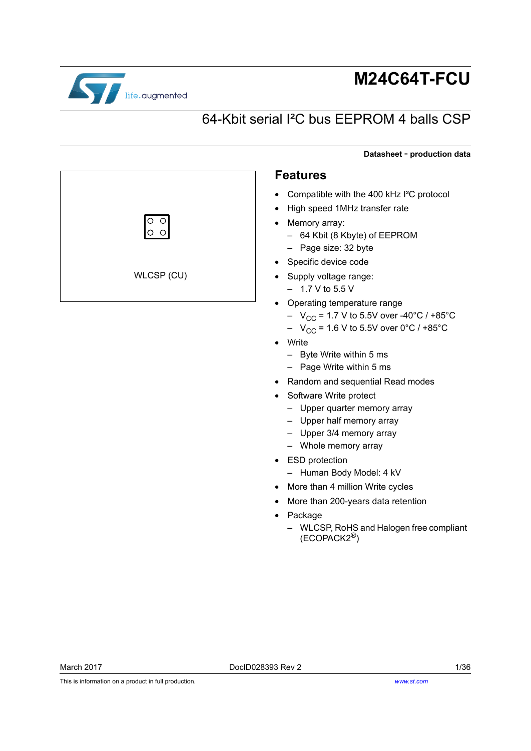

# **M24C64T-FCU**

# 64-Kbit serial I²C bus EEPROM 4 balls CSP

**Datasheet** - **production data**

#### **Features**

- Compatible with the 400 kHz I²C protocol
- High speed 1MHz transfer rate
- Memory array:
	- 64 Kbit (8 Kbyte) of EEPROM
- Page size: 32 byte
- Specific device code
- Supply voltage range:
	- $-1.7$  V to 5.5 V
- Operating temperature range
	- $-V_{\text{CC}}$  = 1.7 V to 5.5V over -40°C / +85°C
	- $V_{CC}$  = 1.6 V to 5.5V over 0°C / +85°C
- Write
	- Byte Write within 5 ms
	- Page Write within 5 ms
- Random and sequential Read modes
- Software Write protect
	- Upper quarter memory array
	- Upper half memory array
	- Upper 3/4 memory array
	- Whole memory array
- ESD protection
	- Human Body Model: 4 kV
- More than 4 million Write cycles
- More than 200-years data retention
- Package
	- WLCSP, RoHS and Halogen free compliant (ECOPACK2®)

WLCSP (CU)

 $\overline{\circ}$  $\circ$   $\circ$ 

*[www.st.com](http://www.st.com)*

This is information on a product in full production.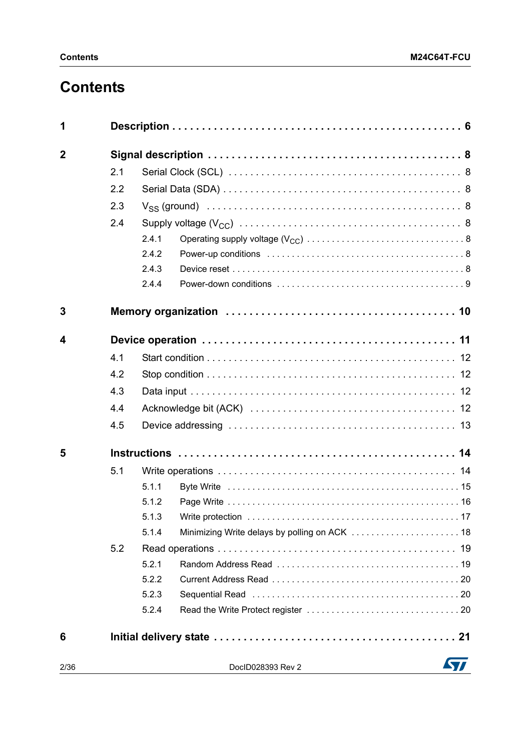# **Contents**

| 1              |     |       |                   |  |  |  |  |
|----------------|-----|-------|-------------------|--|--|--|--|
| $\overline{2}$ |     |       |                   |  |  |  |  |
|                | 2.1 |       |                   |  |  |  |  |
|                | 2.2 |       |                   |  |  |  |  |
|                | 2.3 |       |                   |  |  |  |  |
|                | 2.4 |       |                   |  |  |  |  |
|                |     | 2.4.1 |                   |  |  |  |  |
|                |     | 2.4.2 |                   |  |  |  |  |
|                |     | 2.4.3 |                   |  |  |  |  |
|                |     | 2.4.4 |                   |  |  |  |  |
| 3              |     |       |                   |  |  |  |  |
| 4              |     |       |                   |  |  |  |  |
|                | 4.1 |       |                   |  |  |  |  |
|                | 4.2 |       |                   |  |  |  |  |
|                | 4.3 |       |                   |  |  |  |  |
|                | 4.4 |       |                   |  |  |  |  |
|                | 4.5 |       |                   |  |  |  |  |
| 5              |     |       |                   |  |  |  |  |
|                | 5.1 |       |                   |  |  |  |  |
|                |     | 5.1.1 |                   |  |  |  |  |
|                |     | 5.1.2 |                   |  |  |  |  |
|                |     | 5.1.3 |                   |  |  |  |  |
|                |     | 5.1.4 |                   |  |  |  |  |
|                | 5.2 |       |                   |  |  |  |  |
|                |     | 5.2.1 |                   |  |  |  |  |
|                |     | 5.2.2 |                   |  |  |  |  |
|                |     | 5.2.3 |                   |  |  |  |  |
|                |     | 5.2.4 |                   |  |  |  |  |
| 6              |     |       |                   |  |  |  |  |
| 2/36           |     |       | DocID028393 Rev 2 |  |  |  |  |

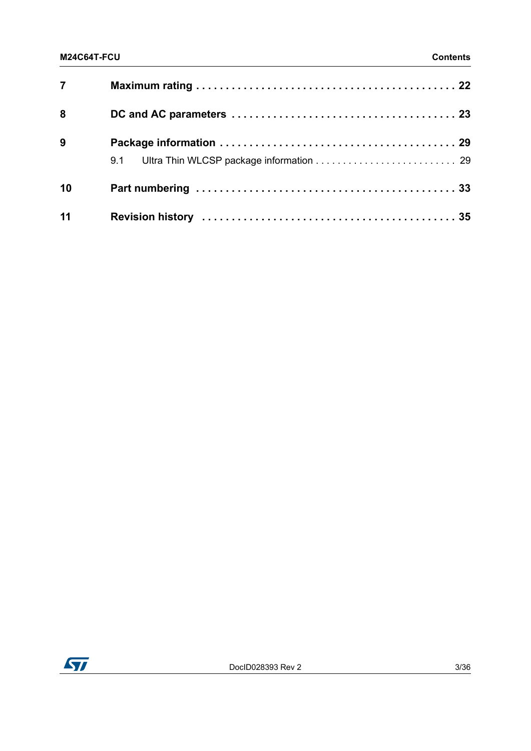| 7  |  |
|----|--|
| 8  |  |
| 9  |  |
| 10 |  |
| 11 |  |

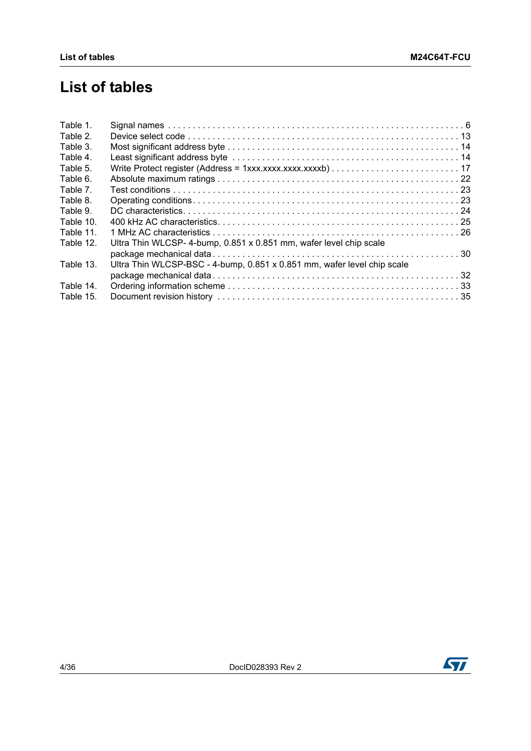# **List of tables**

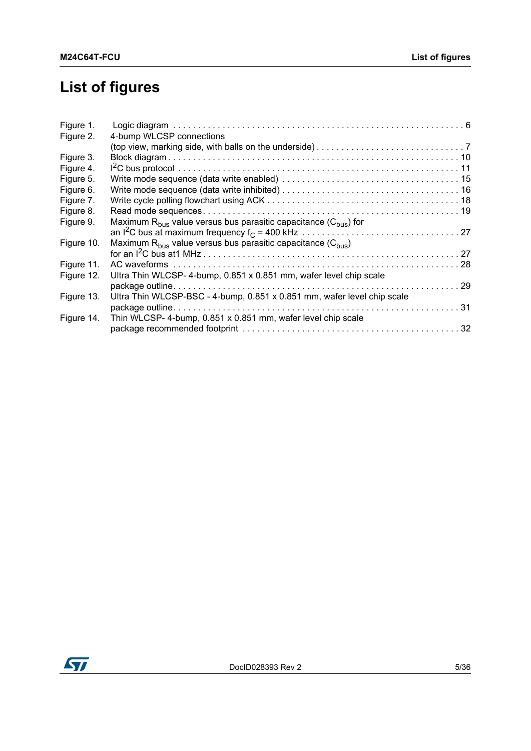# **List of figures**

| Figure 1.  |                                                                            |  |
|------------|----------------------------------------------------------------------------|--|
| Figure 2.  | 4-bump WLCSP connections                                                   |  |
|            |                                                                            |  |
| Figure 3.  |                                                                            |  |
| Figure 4.  |                                                                            |  |
| Figure 5.  |                                                                            |  |
| Figure 6.  |                                                                            |  |
| Figure 7.  |                                                                            |  |
| Figure 8.  |                                                                            |  |
| Figure 9.  | Maximum $R_{bus}$ value versus bus parasitic capacitance ( $C_{bus}$ ) for |  |
|            |                                                                            |  |
| Figure 10. | Maximum $R_{bus}$ value versus bus parasitic capacitance ( $C_{bus}$ )     |  |
|            |                                                                            |  |
| Figure 11. |                                                                            |  |
| Figure 12. | Ultra Thin WLCSP-4-bump, 0.851 x 0.851 mm, wafer level chip scale          |  |
|            |                                                                            |  |
| Figure 13. | Ultra Thin WLCSP-BSC - 4-bump, 0.851 x 0.851 mm, wafer level chip scale    |  |
|            |                                                                            |  |
| Figure 14. | Thin WLCSP- 4-bump, 0.851 x 0.851 mm, wafer level chip scale               |  |
|            |                                                                            |  |

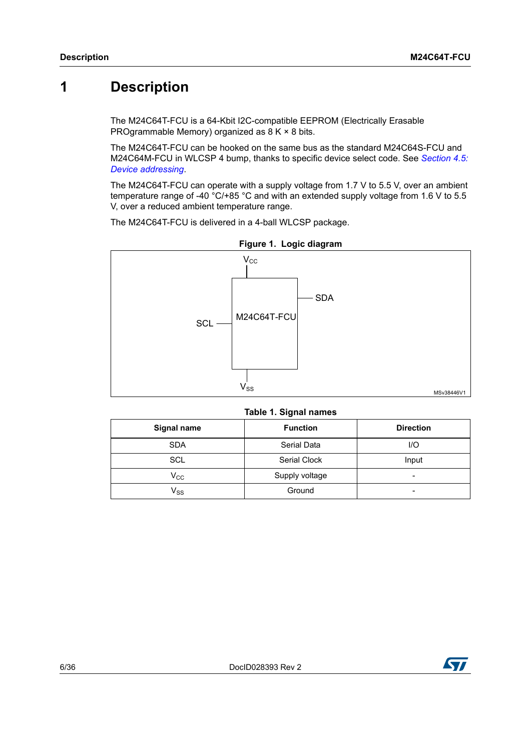# <span id="page-5-0"></span>**1 Description**

The M24C64T-FCU is a 64-Kbit I2C-compatible EEPROM (Electrically Erasable PROgrammable Memory) organized as 8 K × 8 bits.

The M24C64T-FCU can be hooked on the same bus as the standard M24C64S-FCU and M24C64M-FCU in WLCSP 4 bump, thanks to specific device select code. See *[Section](#page-12-0) 4.5: [Device addressing](#page-12-0)*.

The M24C64T-FCU can operate with a supply voltage from 1.7 V to 5.5 V, over an ambient temperature range of -40 °C/+85 °C and with an extended supply voltage from 1.6 V to 5.5 V, over a reduced ambient temperature range.

The M24C64T-FCU is delivered in a 4-ball WLCSP package.

<span id="page-5-2"></span>

**Figure 1. Logic diagram** 

|  | Table 1. Signal names |  |
|--|-----------------------|--|
|--|-----------------------|--|

<span id="page-5-1"></span>

| <b>Signal name</b>         | <b>Function</b> | <b>Direction</b> |
|----------------------------|-----------------|------------------|
| <b>SDA</b>                 | Serial Data     | $U$ O            |
| SCL                        | Serial Clock    | Input            |
| $V_{\rm CC}$               | Supply voltage  | -                |
| $\mathsf{V}_{\mathsf{SS}}$ | Ground          |                  |

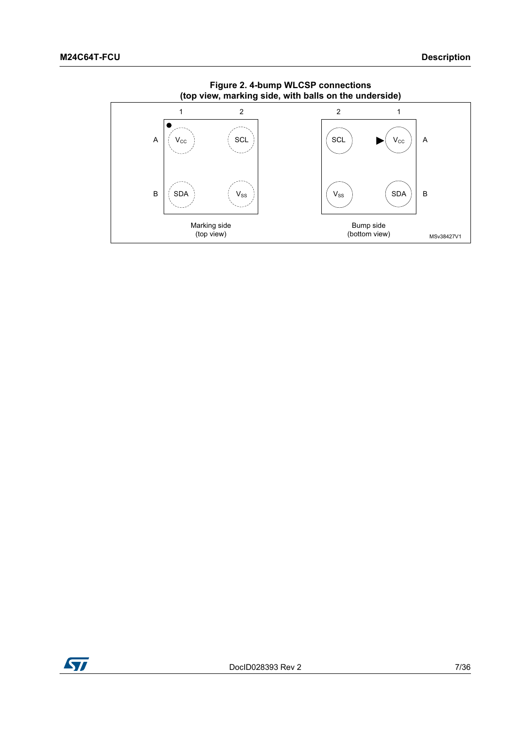<span id="page-6-0"></span>

**Figure 2. 4-bump WLCSP connections (top view, marking side, with balls on the underside)**

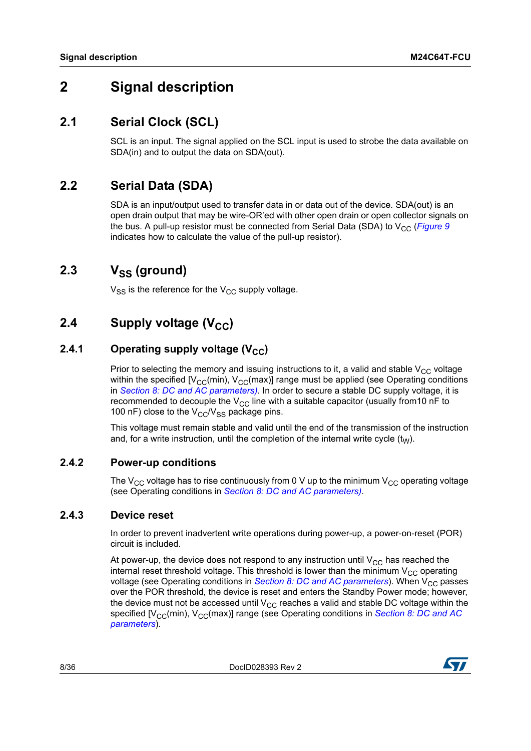# <span id="page-7-0"></span>**2 Signal description**

### <span id="page-7-1"></span>**2.1 Serial Clock (SCL)**

SCL is an input. The signal applied on the SCL input is used to strobe the data available on SDA(in) and to output the data on SDA(out).

### <span id="page-7-2"></span>**2.2 Serial Data (SDA)**

SDA is an input/output used to transfer data in or data out of the device. SDA(out) is an open drain output that may be wire-OR'ed with other open drain or open collector signals on the bus. A pull-up resistor must be connected from Serial Data (SDA) to  $V_{CC}$  (*[Figure](#page-26-0) 9* indicates how to calculate the value of the pull-up resistor).

### <span id="page-7-3"></span>2.3 V<sub>SS</sub> (ground)

 $V_{SS}$  is the reference for the  $V_{CC}$  supply voltage.

### <span id="page-7-4"></span>**2.4** Supply voltage (V<sub>CC</sub>)

### <span id="page-7-5"></span>**2.4.1** Operating supply voltage (V<sub>CC</sub>)

Prior to selecting the memory and issuing instructions to it, a valid and stable  $V_{CC}$  voltage within the specified  $[V_{CC}(min), V_{CC}(max)]$  range must be applied (see Operating conditions in *Section [8: DC and AC parameters](#page-22-0))*. In order to secure a stable DC supply voltage, it is recommended to decouple the  $V_{CC}$  line with a suitable capacitor (usually from 10 nF to 100 nF) close to the  $V_{CC}/V_{SS}$  package pins.

This voltage must remain stable and valid until the end of the transmission of the instruction and, for a write instruction, until the completion of the internal write cycle  $(t_W)$ .

### <span id="page-7-6"></span>**2.4.2 Power-up conditions**

The  $V_{CC}$  voltage has to rise continuously from 0 V up to the minimum  $V_{CC}$  operating voltage (see Operating conditions in *Section [8: DC and AC parameters](#page-22-0))*.

#### <span id="page-7-7"></span>**2.4.3 Device reset**

In order to prevent inadvertent write operations during power-up, a power-on-reset (POR) circuit is included.

At power-up, the device does not respond to any instruction until  $V_{CC}$  has reached the internal reset threshold voltage. This threshold is lower than the minimum  $V_{CC}$  operating voltage (see Operating conditions in *Section [8: DC and AC parameters](#page-22-0)*). When V<sub>CC</sub> passes over the POR threshold, the device is reset and enters the Standby Power mode; however, the device must not be accessed until  $V_{CC}$  reaches a valid and stable DC voltage within the specified [V<sub>CC</sub>(min), V<sub>CC</sub>(max)] range (see Operating conditions in *Section 8: DC and AC [parameters](#page-22-0)*).

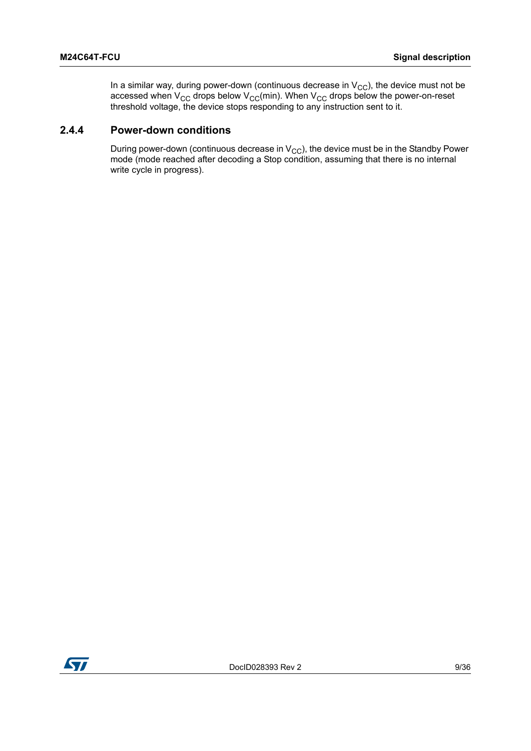In a similar way, during power-down (continuous decrease in  $\rm V_{CC}$ ), the device must not be accessed when V<sub>CC</sub> drops below V<sub>CC</sub>(min). When V<sub>CC</sub> drops below the power-on-reset threshold voltage, the device stops responding to any instruction sent to it.

#### <span id="page-8-0"></span>**2.4.4 Power-down conditions**

During power-down (continuous decrease in  $V_{CC}$ ), the device must be in the Standby Power mode (mode reached after decoding a Stop condition, assuming that there is no internal write cycle in progress).

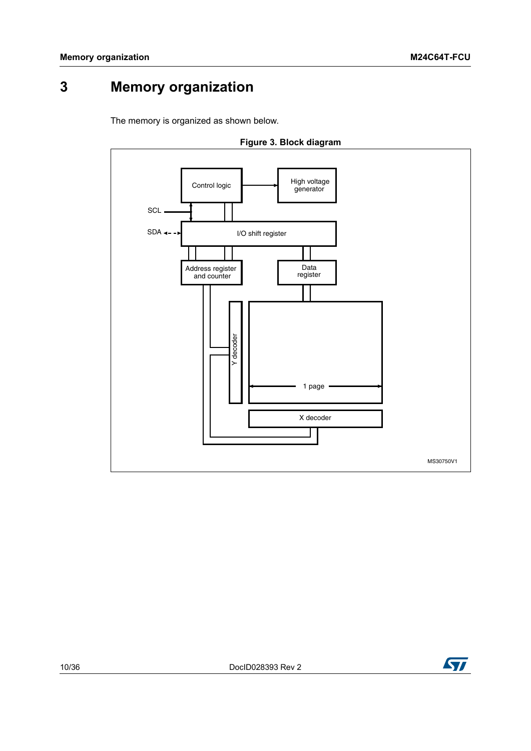# <span id="page-9-0"></span>**3 Memory organization**

The memory is organized as shown below.

<span id="page-9-1"></span>



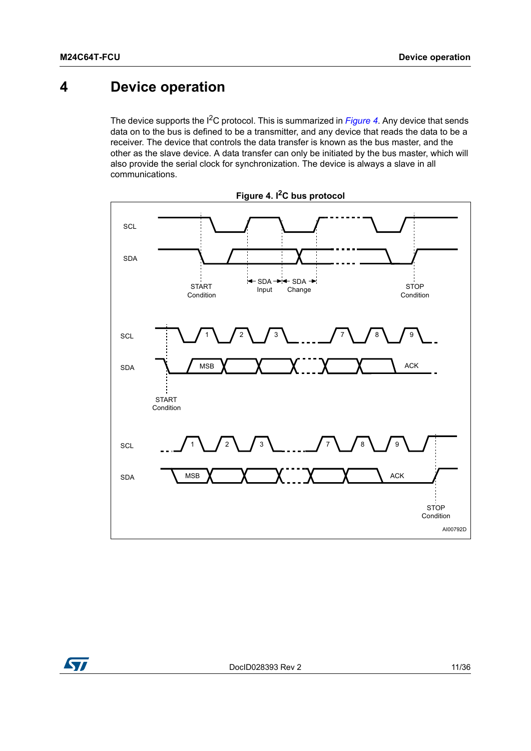# <span id="page-10-0"></span>**4 Device operation**

The device supports the I2C protocol. This is summarized in *[Figure](#page-10-1) 4*. Any device that sends data on to the bus is defined to be a transmitter, and any device that reads the data to be a receiver. The device that controls the data transfer is known as the bus master, and the other as the slave device. A data transfer can only be initiated by the bus master, which will also provide the serial clock for synchronization. The device is always a slave in all communications.

<span id="page-10-1"></span>



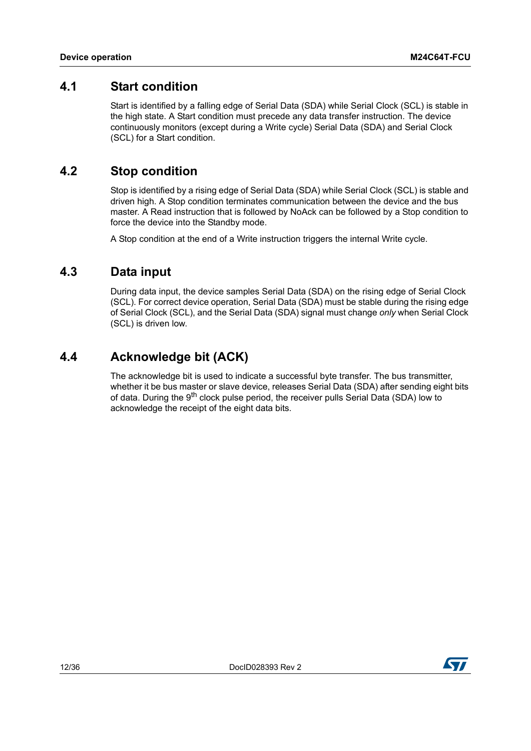### <span id="page-11-0"></span>**4.1 Start condition**

Start is identified by a falling edge of Serial Data (SDA) while Serial Clock (SCL) is stable in the high state. A Start condition must precede any data transfer instruction. The device continuously monitors (except during a Write cycle) Serial Data (SDA) and Serial Clock (SCL) for a Start condition.

### <span id="page-11-1"></span>**4.2 Stop condition**

Stop is identified by a rising edge of Serial Data (SDA) while Serial Clock (SCL) is stable and driven high. A Stop condition terminates communication between the device and the bus master. A Read instruction that is followed by NoAck can be followed by a Stop condition to force the device into the Standby mode.

A Stop condition at the end of a Write instruction triggers the internal Write cycle.

### <span id="page-11-2"></span>**4.3 Data input**

During data input, the device samples Serial Data (SDA) on the rising edge of Serial Clock (SCL). For correct device operation, Serial Data (SDA) must be stable during the rising edge of Serial Clock (SCL), and the Serial Data (SDA) signal must change *only* when Serial Clock (SCL) is driven low.

### <span id="page-11-3"></span>**4.4 Acknowledge bit (ACK)**

The acknowledge bit is used to indicate a successful byte transfer. The bus transmitter, whether it be bus master or slave device, releases Serial Data (SDA) after sending eight bits of data. During the 9<sup>th</sup> clock pulse period, the receiver pulls Serial Data (SDA) low to acknowledge the receipt of the eight data bits.

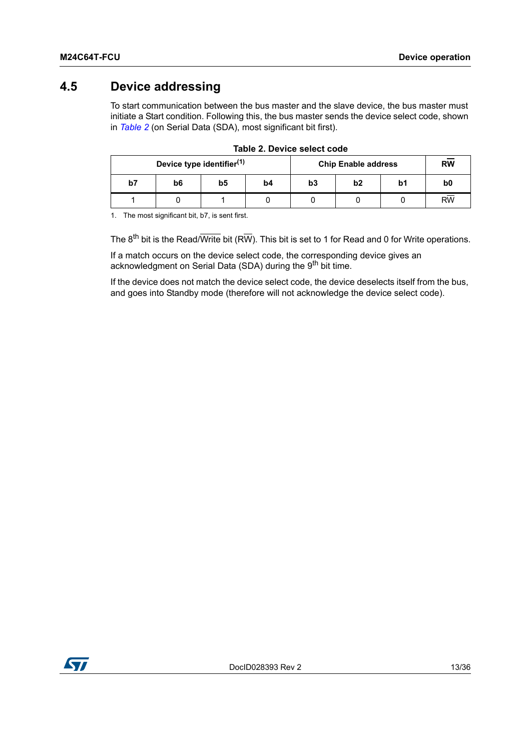### <span id="page-12-0"></span>**4.5 Device addressing**

To start communication between the bus master and the slave device, the bus master must initiate a Start condition. Following this, the bus master sends the device select code, shown in *[Table](#page-12-1) 2* (on Serial Data (SDA), most significant bit first).

<span id="page-12-1"></span>

|    | Device type identifier <sup>(1)</sup> |    |    | <b>Chip Enable address</b> | <b>RW</b>      |    |                 |
|----|---------------------------------------|----|----|----------------------------|----------------|----|-----------------|
| b7 | b6                                    | b5 | b4 | b3                         | b <sub>2</sub> | b1 | b <sub>0</sub>  |
|    |                                       |    |    |                            |                |    | $R\overline{W}$ |

|  | Table 2. Device select code |  |
|--|-----------------------------|--|
|  |                             |  |

1. The most significant bit, b7, is sent first.

The  $8^{th}$  bit is the Read/Write bit (RW). This bit is set to 1 for Read and 0 for Write operations.

If a match occurs on the device select code, the corresponding device gives an acknowledgment on Serial Data (SDA) during the 9<sup>th</sup> bit time.

If the device does not match the device select code, the device deselects itself from the bus, and goes into Standby mode (therefore will not acknowledge the device select code).

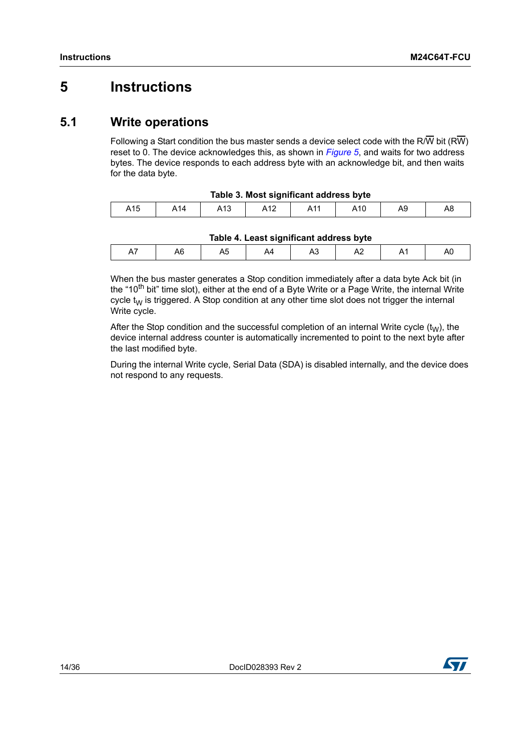# <span id="page-13-0"></span>**5 Instructions**

### <span id="page-13-1"></span>**5.1 Write operations**

Following a Start condition the bus master sends a device select code with the R/W bit (RW) reset to 0. The device acknowledges this, as shown in *[Figure](#page-14-1) 5*, and waits for two address bytes. The device responds to each address byte with an acknowledge bit, and then waits for the data byte.

<span id="page-13-2"></span>

| Table 3. Most significant address byte |     |     |     |  |     |  |    |  |
|----------------------------------------|-----|-----|-----|--|-----|--|----|--|
| A15                                    | A14 | A13 | A12 |  | A10 |  | A8 |  |

| A15 | $\sqrt{14}$ | 10 <sup>4</sup><br>. ا ب |  | 10 V | ৲৺ | ᇺ |
|-----|-------------|--------------------------|--|------|----|---|

| Tahlo 4   past significant address hyte |  |
|-----------------------------------------|--|

<span id="page-13-3"></span>

| Table 4. Least significant address byte |    |   |  |    |   |  |  |
|-----------------------------------------|----|---|--|----|---|--|--|
|                                         | יי | ື |  | ٦u | ∼ |  |  |
|                                         |    |   |  |    |   |  |  |

When the bus master generates a Stop condition immediately after a data byte Ack bit (in the "10<sup>th</sup> bit" time slot), either at the end of a Byte Write or a Page Write, the internal Write cycle  $t_W$  is triggered. A Stop condition at any other time slot does not trigger the internal Write cycle.

After the Stop condition and the successful completion of an internal Write cycle  $(t<sub>W</sub>)$ , the device internal address counter is automatically incremented to point to the next byte after the last modified byte.

During the internal Write cycle, Serial Data (SDA) is disabled internally, and the device does not respond to any requests.

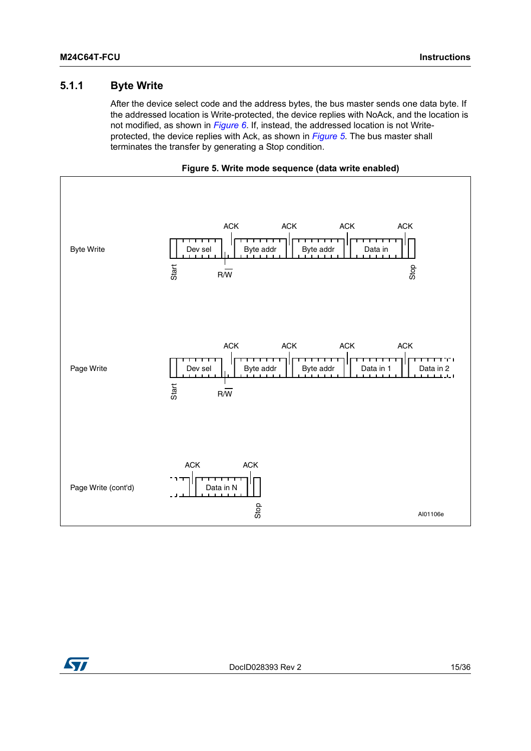#### <span id="page-14-0"></span>**5.1.1 Byte Write**

After the device select code and the address bytes, the bus master sends one data byte. If the addressed location is Write-protected, the device replies with NoAck, and the location is not modified, as shown in *[Figure](#page-15-1) 6*. If, instead, the addressed location is not Writeprotected, the device replies with Ack, as shown in *[Figure](#page-14-1) 5*. The bus master shall terminates the transfer by generating a Stop condition.



<span id="page-14-1"></span>

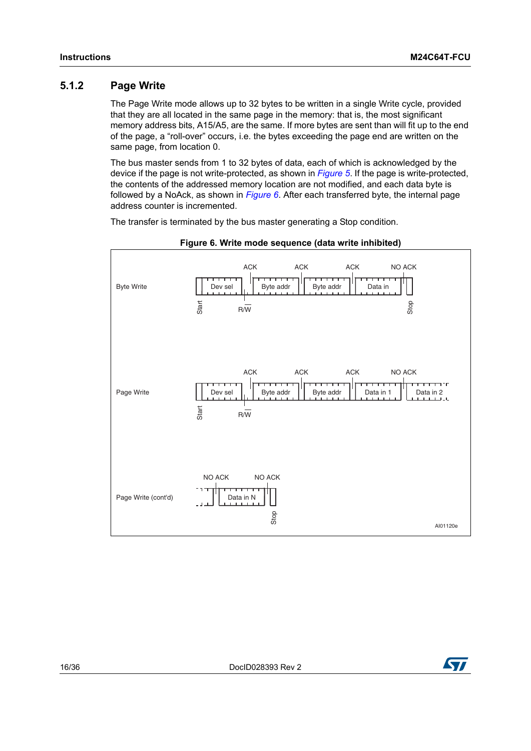#### <span id="page-15-0"></span>**5.1.2 Page Write**

The Page Write mode allows up to 32 bytes to be written in a single Write cycle, provided that they are all located in the same page in the memory: that is, the most significant memory address bits, A15/A5, are the same. If more bytes are sent than will fit up to the end of the page, a "roll-over" occurs, i.e. the bytes exceeding the page end are written on the same page, from location 0.

The bus master sends from 1 to 32 bytes of data, each of which is acknowledged by the device if the page is not write-protected, as shown in *[Figure](#page-14-1) 5*. If the page is write-protected, the contents of the addressed memory location are not modified, and each data byte is followed by a NoAck, as shown in *[Figure](#page-15-1) 6*. After each transferred byte, the internal page address counter is incremented.

The transfer is terminated by the bus master generating a Stop condition.

<span id="page-15-1"></span>



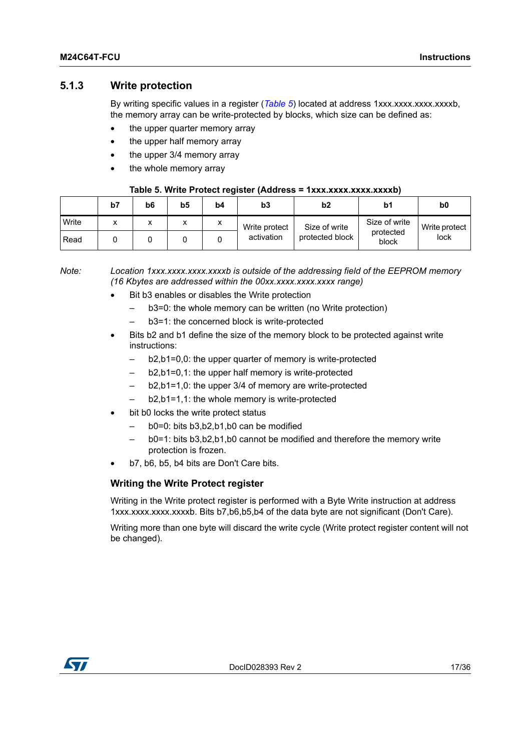#### <span id="page-16-0"></span>**5.1.3 Write protection**

By writing specific values in a register (*[Table](#page-16-1) 5*) located at address 1xxx.xxx.xxxx.xxxxb, the memory array can be write-protected by blocks, which size can be defined as:

- the upper quarter memory array
- the upper half memory array
- the upper 3/4 memory array
- the whole memory array

#### **Table 5. Write Protect register (Address = 1xxx.xxxx.xxxx.xxxxb)**

<span id="page-16-1"></span>

|       | b7 | b6     | b5           | b4 | b3            | b2              | b1                 | b <sub>0</sub> |
|-------|----|--------|--------------|----|---------------|-----------------|--------------------|----------------|
| Write |    | v<br>́ | $\mathbf{v}$ |    | Write protect | Size of write   | Size of write      | Write protect  |
| Read  |    |        |              |    | activation    | protected block | protected<br>block | lock           |

*Note: Location 1xxx.xxxx.xxxx.xxxxb is outside of the addressing field of the EEPROM memory (16 Kbytes are addressed within the 00xx.xxxx.xxxx.xxxx range)* 

- Bit b3 enables or disables the Write protection
	- b3=0: the whole memory can be written (no Write protection)
	- b3=1: the concerned block is write-protected
- Bits b2 and b1 define the size of the memory block to be protected against write instructions:
	- b2,b1=0,0: the upper quarter of memory is write-protected
	- b2,b1=0,1: the upper half memory is write-protected
	- b2,b1=1,0: the upper 3/4 of memory are write-protected
	- b2,b1=1,1: the whole memory is write-protected
- bit b0 locks the write protect status
	- b0=0: bits b3,b2,b1,b0 can be modified
	- b0=1: bits b3,b2,b1,b0 cannot be modified and therefore the memory write protection is frozen.
- b7, b6, b5, b4 bits are Don't Care bits.

#### **Writing the Write Protect register**

Writing in the Write protect register is performed with a Byte Write instruction at address 1xxx.xxxx.xxxx.xxxxb. Bits b7,b6,b5,b4 of the data byte are not significant (Don't Care).

Writing more than one byte will discard the write cycle (Write protect register content will not be changed).

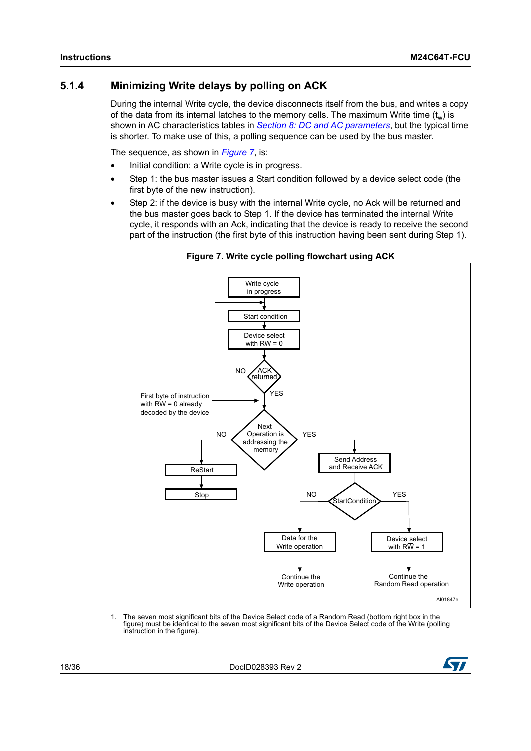### <span id="page-17-0"></span>**5.1.4 Minimizing Write delays by polling on ACK**

During the internal Write cycle, the device disconnects itself from the bus, and writes a copy of the data from its internal latches to the memory cells. The maximum Write time  $(t_w)$  is shown in AC characteristics tables in *Section [8: DC and AC parameters](#page-22-0)*, but the typical time is shorter. To make use of this, a polling sequence can be used by the bus master.

The sequence, as shown in *[Figure](#page-17-1) 7*, is:

- Initial condition: a Write cycle is in progress.
- Step 1: the bus master issues a Start condition followed by a device select code (the first byte of the new instruction).
- Step 2: if the device is busy with the internal Write cycle, no Ack will be returned and the bus master goes back to Step 1. If the device has terminated the internal Write cycle, it responds with an Ack, indicating that the device is ready to receive the second part of the instruction (the first byte of this instruction having been sent during Step 1).

<span id="page-17-1"></span>

**Figure 7. Write cycle polling flowchart using ACK**

1. The seven most significant bits of the Device Select code of a Random Read (bottom right box in the figure) must be identical to the seven most significant bits of the Device Select code of the Write (polling instruction in the figure).

18/36 DocID028393 Rev 2

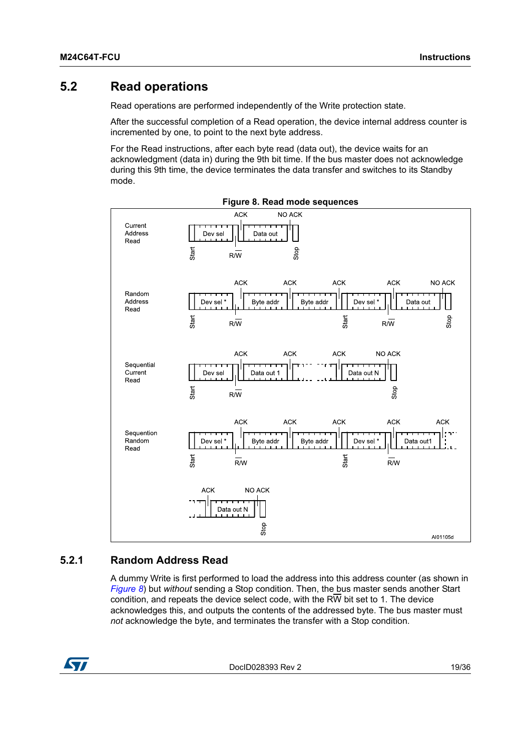### <span id="page-18-0"></span>**5.2 Read operations**

Read operations are performed independently of the Write protection state.

After the successful completion of a Read operation, the device internal address counter is incremented by one, to point to the next byte address.

For the Read instructions, after each byte read (data out), the device waits for an acknowledgment (data in) during the 9th bit time. If the bus master does not acknowledge during this 9th time, the device terminates the data transfer and switches to its Standby mode.

<span id="page-18-2"></span>

#### <span id="page-18-1"></span>**5.2.1 Random Address Read**

A dummy Write is first performed to load the address into this address counter (as shown in *[Figure](#page-18-2) 8*) but *without* sending a Stop condition. Then, the bus master sends another Start condition, and repeats the device select code, with the RW bit set to 1. The device acknowledges this, and outputs the contents of the addressed byte. The bus master must *not* acknowledge the byte, and terminates the transfer with a Stop condition.



DocID028393 Rev 2 19/36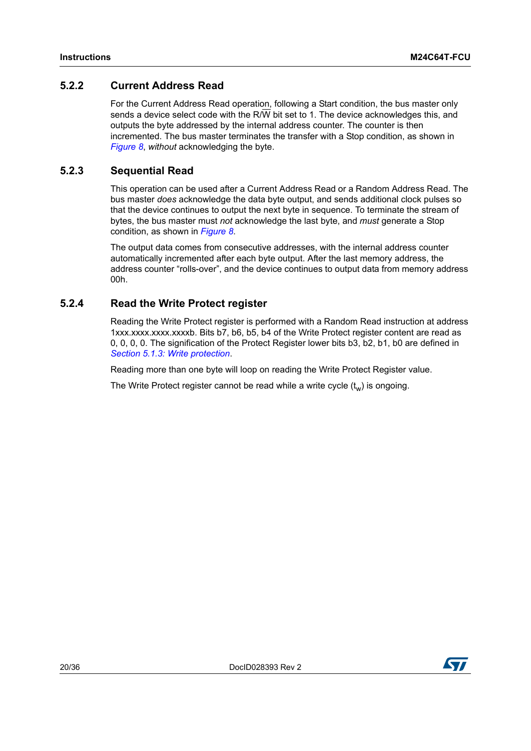### <span id="page-19-0"></span>**5.2.2 Current Address Read**

For the Current Address Read operation, following a Start condition, the bus master only sends a device select code with the R/W bit set to 1. The device acknowledges this, and outputs the byte addressed by the internal address counter. The counter is then incremented. The bus master terminates the transfer with a Stop condition, as shown in *[Figure](#page-18-2) 8*, *without* acknowledging the byte.

#### <span id="page-19-1"></span>**5.2.3 Sequential Read**

This operation can be used after a Current Address Read or a Random Address Read. The bus master *does* acknowledge the data byte output, and sends additional clock pulses so that the device continues to output the next byte in sequence. To terminate the stream of bytes, the bus master must *not* acknowledge the last byte, and *must* generate a Stop condition, as shown in *[Figure](#page-18-2) 8*.

The output data comes from consecutive addresses, with the internal address counter automatically incremented after each byte output. After the last memory address, the address counter "rolls-over", and the device continues to output data from memory address 00h.

#### <span id="page-19-2"></span>**5.2.4 Read the Write Protect register**

Reading the Write Protect register is performed with a Random Read instruction at address 1xxx.xxxx.xxxx.xxxxb. Bits b7, b6, b5, b4 of the Write Protect register content are read as 0, 0, 0, 0. The signification of the Protect Register lower bits b3, b2, b1, b0 are defined in *Section [5.1.3: Write protection](#page-16-0)*.

Reading more than one byte will loop on reading the Write Protect Register value.

The Write Protect register cannot be read while a write cycle  $(t_w)$  is ongoing.

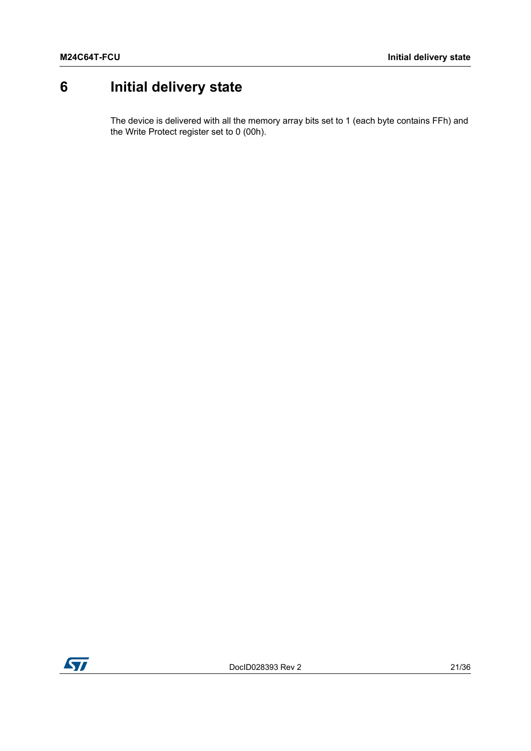# <span id="page-20-0"></span>**6 Initial delivery state**

The device is delivered with all the memory array bits set to 1 (each byte contains FFh) and the Write Protect register set to 0 (00h).

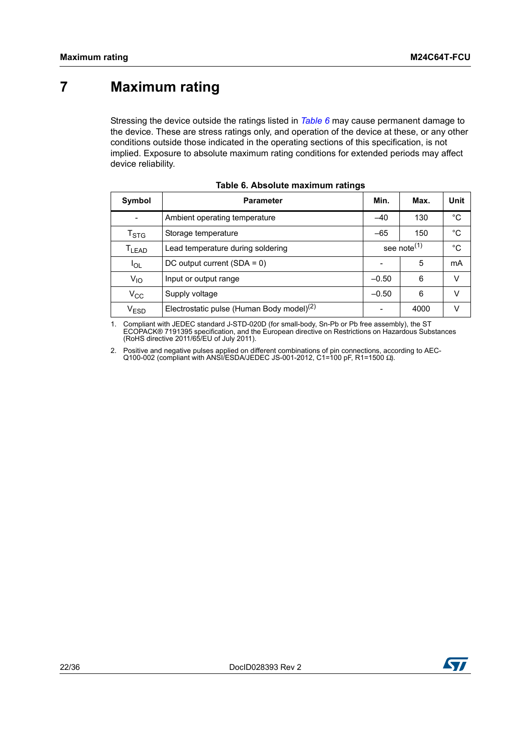# <span id="page-21-0"></span>**7 Maximum rating**

Stressing the device outside the ratings listed in *[Table](#page-21-1) 6* may cause permanent damage to the device. These are stress ratings only, and operation of the device at these, or any other conditions outside those indicated in the operating sections of this specification, is not implied. Exposure to absolute maximum rating conditions for extended periods may affect device reliability.

<span id="page-21-1"></span>

| Symbol                      | <b>Parameter</b>                                      | Min.                    | Max. | Unit         |
|-----------------------------|-------------------------------------------------------|-------------------------|------|--------------|
|                             | Ambient operating temperature                         | $-40$                   | 130  | °C           |
| $\mathsf{T}_{\textsf{STG}}$ | Storage temperature                                   | $-65$                   | 150  | $^{\circ}$ C |
| T <sub>LEAD</sub>           | Lead temperature during soldering                     | see note <sup>(1)</sup> | °C   |              |
| $I_{OL}$                    | DC output current $(SDA = 0)$                         | 5                       | mA   |              |
| $V_{10}$                    | Input or output range                                 | $-0.50$                 | 6    | $\vee$       |
| $V_{\rm CC}$                | Supply voltage                                        | $-0.50$                 | 6    | v            |
| $\rm V_{ESD}$               | Electrostatic pulse (Human Body model) <sup>(2)</sup> |                         | 4000 | V            |

|  | Table 6. Absolute maximum ratings |  |
|--|-----------------------------------|--|
|  |                                   |  |

1. Compliant with JEDEC standard J-STD-020D (for small-body, Sn-Pb or Pb free assembly), the ST<br>ECOPACK® 7191395 specification, and the European directive on Restrictions on Hazardous Substances<br>(RoHS directive 2011/65/EU

2. Positive and negative pulses applied on different combinations of pin connections, according to AEC-Q100-002 (compliant with ANSI/ESDA/JEDEC JS-001-2012, C1=100 pF, R1=1500 Ω).

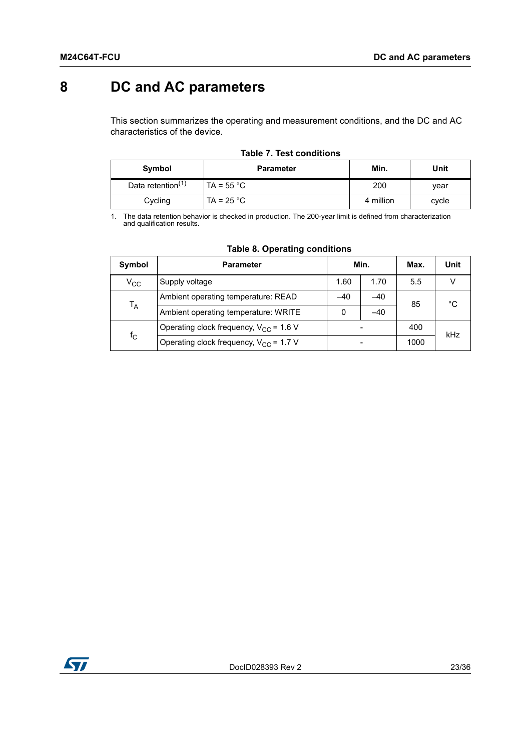# <span id="page-22-0"></span>**8 DC and AC parameters**

This section summarizes the operating and measurement conditions, and the DC and AC characteristics of the device.

<span id="page-22-1"></span>

| Symbol                        | <b>Parameter</b>    | Min.      | Unit  |
|-------------------------------|---------------------|-----------|-------|
| Data retention <sup>(1)</sup> | TA = $55^{\circ}$ C | 200       | vear  |
| Cycling                       | TA = $25 °C$        | 4 million | cycle |

### **Table 7. Test conditions**

1. The data retention behavior is checked in production. The 200-year limit is defined from characterization and qualification results.

<span id="page-22-2"></span>

| Symbol       | <b>Parameter</b>                            |      | Min.  | Max. | Unit |
|--------------|---------------------------------------------|------|-------|------|------|
| $\rm v_{cc}$ | Supply voltage                              | 1.60 | 1.70  | 5.5  |      |
|              | Ambient operating temperature: READ         |      | -40   | 85   | °C   |
| $T_A$        | Ambient operating temperature: WRITE        | 0    | $-40$ |      |      |
|              | Operating clock frequency, $V_{CC}$ = 1.6 V |      |       |      | kHz  |
| $f_{\rm C}$  | Operating clock frequency, $V_{CC}$ = 1.7 V |      |       |      |      |

#### **Table 8. Operating conditions**

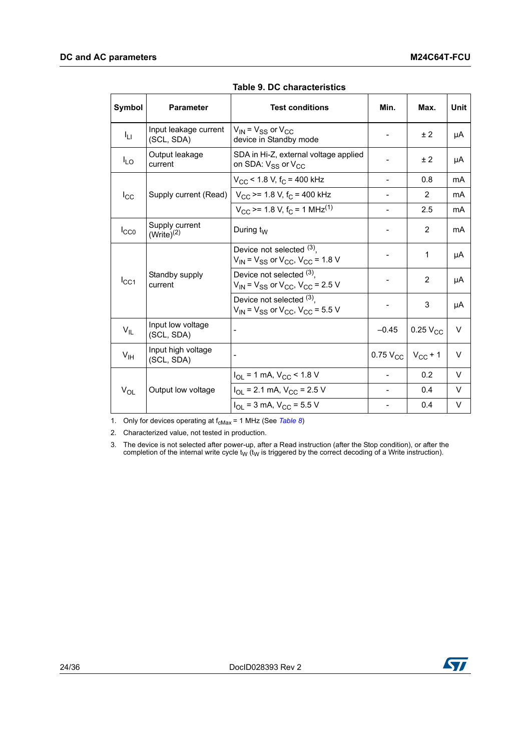<span id="page-23-0"></span>

| Symbol          | <b>Parameter</b>                    | <b>Test conditions</b>                                                              | Min.            | Max.            | <b>Unit</b> |
|-----------------|-------------------------------------|-------------------------------------------------------------------------------------|-----------------|-----------------|-------------|
| Iц              | Input leakage current<br>(SCL, SDA) | $V_{\text{IN}}$ = $V_{SS}$ or $V_{CC}$<br>device in Standby mode                    |                 | ± 2             | μA          |
| $I_{LO}$        | Output leakage<br>current           | SDA in Hi-Z, external voltage applied<br>on SDA: V <sub>SS</sub> or V <sub>CC</sub> |                 | ± 2             | μA          |
|                 |                                     | $V_{CC}$ < 1.8 V, f <sub>C</sub> = 400 kHz                                          | $\overline{a}$  | 0.8             | mA          |
| $I_{\rm CC}$    | Supply current (Read)               | $V_{CC}$ >= 1.8 V, f <sub>C</sub> = 400 kHz                                         |                 | $\overline{2}$  | mA          |
|                 |                                     | $V_{\rm CC}$ >= 1.8 V, f <sub>C</sub> = 1 MHz <sup>(1)</sup>                        |                 | 2.5             | mA          |
| $I_{CC0}$       | Supply current<br>$(Write)^{(2)}$   | During $t_W$                                                                        |                 | 2               | mA          |
|                 |                                     | Device not selected (3),<br>$V_{IN}$ = $V_{SS}$ or $V_{CC}$ , $V_{CC}$ = 1.8 V      |                 | 1               | μA          |
| $I_{CC1}$       | Standby supply<br>current           | Device not selected (3),<br>$V_{IN}$ = $V_{SS}$ or $V_{CC}$ , $V_{CC}$ = 2.5 V      |                 | 2               | μA          |
|                 |                                     | Device not selected (3),<br>$V_{IN}$ = $V_{SS}$ or $V_{CC}$ , $V_{CC}$ = 5.5 V      |                 | 3               | μA          |
| $V_{IL}$        | Input low voltage<br>(SCL, SDA)     |                                                                                     | $-0.45$         | $0.25$ $V_{CC}$ | V           |
| $V_{\text{IH}}$ | Input high voltage<br>(SCL, SDA)    |                                                                                     | $0.75$ $V_{CC}$ | $V_{CC}$ + 1    | $\vee$      |
|                 |                                     | $I_{OL}$ = 1 mA, $V_{CC}$ < 1.8 V                                                   | $\overline{a}$  | 0.2             | V           |
| $V_{OL}$        | Output low voltage                  | $I_{OL}$ = 2.1 mA, $V_{CC}$ = 2.5 V                                                 |                 | 0.4             | V           |
|                 |                                     | $I_{\text{OI}}$ = 3 mA, $V_{\text{CC}}$ = 5.5 V                                     |                 | 0.4             | V           |

**Table 9. DC characteristics** 

1. Only for devices operating at f<sub>cMax</sub> = 1 MHz (See [Table 8](#page-22-2))

2. Characterized value, not tested in production.

3. The device is not selected after power-up, after a Read instruction (after the Stop condition), or after the completion of the internal write cycle  $t_W$  ( $t_W$  is triggered by the correct decoding of a Write instruction).

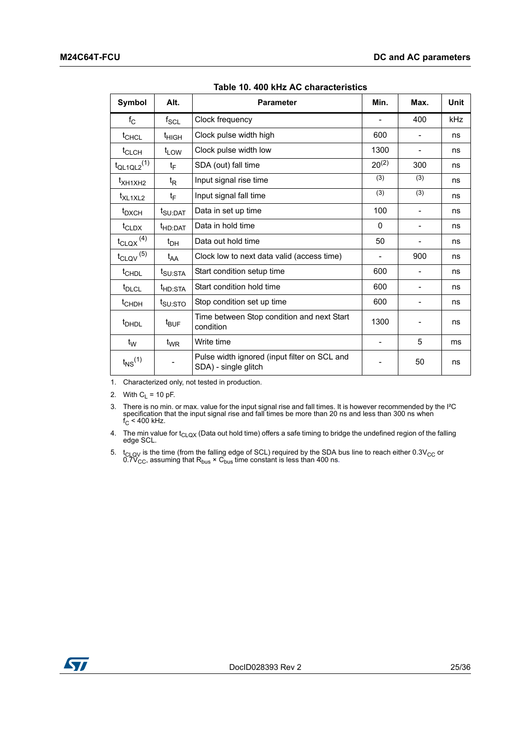<span id="page-24-0"></span>

| Symbol                           | Alt.                | <b>Parameter</b>                                                     | Min.       | Max.                     | <b>Unit</b> |
|----------------------------------|---------------------|----------------------------------------------------------------------|------------|--------------------------|-------------|
| $f_{\rm C}$                      | $f_{\mathsf{SCL}}$  | Clock frequency                                                      |            | 400                      | kHz         |
| t <sub>CHCL</sub>                | t <sub>HIGH</sub>   | Clock pulse width high                                               | 600        |                          | ns          |
| t <sub>CLCH</sub>                | $t_{LOW}$           | Clock pulse width low                                                | 1300       | $\overline{\phantom{a}}$ | ns          |
| $t_{QL1QL2}$ <sup>(1)</sup>      | t <sub>F</sub>      | SDA (out) fall time                                                  | $20^{(2)}$ | 300                      | ns          |
| t <sub>XH1XH2</sub>              | $t_{\mathsf{R}}$    | Input signal rise time                                               | (3)        | (3)                      | ns          |
| t <sub>XL1XL2</sub>              | t <sub>F</sub>      | Input signal fall time                                               | (3)        | (3)                      | ns          |
| t <sub>DXCH</sub>                | t <sub>SU:DAT</sub> | Data in set up time                                                  | 100        |                          | ns          |
| $t_{CLDX}$                       | <sup>t</sup> HD:DAT | Data in hold time                                                    | 0          |                          | ns          |
| $t_{\text{CLQX}}$ <sup>(4)</sup> | $t_{DH}$            | Data out hold time                                                   | 50         | -                        | ns          |
| $t_{\text{CLQV}}^{(5)}$          | $t_{AA}$            | Clock low to next data valid (access time)                           |            | 900                      | ns          |
| t <sub>CHDL</sub>                | t <sub>SU:STA</sub> | Start condition setup time                                           | 600        |                          | ns          |
| t <sub>DLCL</sub>                | <sup>t</sup> HD:STA | Start condition hold time                                            | 600        |                          | ns          |
| t <sub>CHDH</sub>                | $t_{\text{SU:STO}}$ | Stop condition set up time                                           | 600        |                          | ns          |
| <sup>t</sup> DHDL                | $t_{\mathsf{BUF}}$  | Time between Stop condition and next Start<br>condition              | 1300       |                          | ns          |
| $t_W$                            | $t_{WR}$            | Write time                                                           |            | 5                        | ms          |
| $t_{NS}$ <sup>(1)</sup>          |                     | Pulse width ignored (input filter on SCL and<br>SDA) - single glitch |            | 50                       | ns          |

**Table 10. 400 kHz AC characteristics** 

1. Characterized only, not tested in production.

2. With  $C_L = 10$  pF.

3. There is no min. or max. value for the input signal rise and fall times. It is however recommended by the l<sup>2</sup>C specification that the input signal rise and fall times be more than 20 ns and less than 300 ns when  $f_C <$ 

4. The min value for  $t_{\text{CLQX}}$  (Data out hold time) offers a safe timing to bridge the undefined region of the falling edge SCL.

5.  $t_{\text{CLOV}}$  is the time (from the falling edge of SCL) required by the SDA bus line to reach either 0.3V<sub>CC</sub> or 0.7V<sub>CC</sub>, assuming that R<sub>bus</sub> × C<sub>bus</sub> time constant is less than 400 ns.

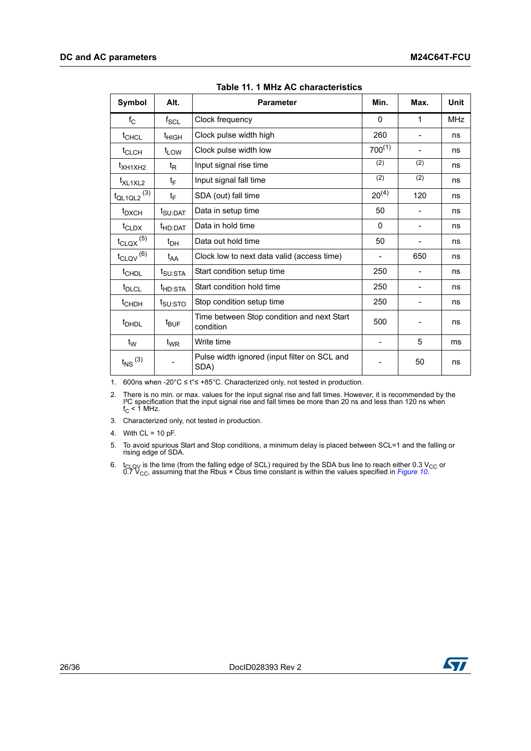<span id="page-25-0"></span>

| Symbol                  | Alt.                        | <b>Parameter</b>                                        | Min.        | Max. | <b>Unit</b> |
|-------------------------|-----------------------------|---------------------------------------------------------|-------------|------|-------------|
| $f_{\rm C}$             | $\mathsf{f}_{\mathsf{SCL}}$ | Clock frequency                                         | $\Omega$    | 1    | <b>MHz</b>  |
| $t_{CHCL}$              | t <sub>HIGH</sub>           | Clock pulse width high                                  | 260         |      | ns          |
| t <sub>CLCH</sub>       | $t_{LOW}$                   | Clock pulse width low                                   | $700^{(1)}$ |      | ns          |
| $t_{\text{XH1XH2}}$     | t <sub>R</sub>              | Input signal rise time                                  | (2)         | (2)  | ns          |
| t <sub>XL1XL2</sub>     | t <sub>F</sub>              | Input signal fall time                                  | (2)         | (2)  | ns          |
| $t_{QL1QL2}$ (3)        | $t_{F}$                     | SDA (out) fall time                                     | $20^{(4)}$  | 120  | ns          |
| t <sub>DXCH</sub>       | t <sub>SU:DAT</sub>         | Data in setup time                                      | 50          |      | ns          |
| $t_{CLDX}$              | t <sub>HD:DAT</sub>         | Data in hold time                                       | $\Omega$    |      | ns          |
| $t_{\text{CLQX}}^{(5)}$ | $t_{DH}$                    | Data out hold time                                      | 50          |      | ns          |
| $t_{\text{CLQV}}^{(6)}$ | t <sub>AA</sub>             | Clock low to next data valid (access time)              |             | 650  | ns          |
| t <sub>CHDL</sub>       | t <sub>SU:STA</sub>         | Start condition setup time                              | 250         |      | ns          |
| t <sub>DLCL</sub>       | t <sub>HD:STA</sub>         | Start condition hold time                               | 250         |      | ns          |
| t <sub>CHDH</sub>       | t <sub>SU:STO</sub>         | Stop condition setup time                               | 250         |      | ns          |
| <sup>t</sup> DHDL       | $t_{\text{BUF}}$            | Time between Stop condition and next Start<br>condition | 500         |      | ns          |
| $t_W$                   | $t_{\mathsf{WR}}$           | Write time                                              |             | 5    | ms          |
| $t_{NS}$ (3)            |                             | Pulse width ignored (input filter on SCL and<br>SDA)    |             | 50   | ns          |

**Table 11. 1 MHz AC characteristics** 

1. 600ns when -20°C ≤ t°≤ +85°C. Characterized only, not tested in production.

2. There is no min. or max. values for the input signal rise and fall times. However, it is recommended by the  $I^2C$  specification that the input signal rise and fall times be more than 20 ns and less than 120 ns when  $f$ 

3. Characterized only, not tested in production.

4. With  $CL = 10 pF$ .

- 5. To avoid spurious Start and Stop conditions, a minimum delay is placed between SCL=1 and the falling or rising edge of SDA.
- 6. t<sub>CLQV</sub> is the time (from the falling edge of SCL) required by the SDA bus line to reach either 0.3 V<sub>CC</sub> or 0.7 V<sub>CC</sub>, assuming that the Rbus × Cbus time constant is within the values specified in *[Figure 10](#page-26-1)*.

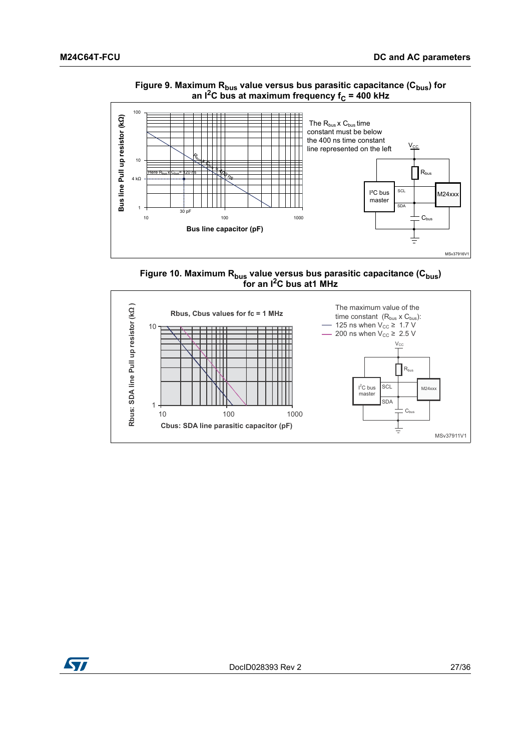<span id="page-26-0"></span>





<span id="page-26-1"></span>

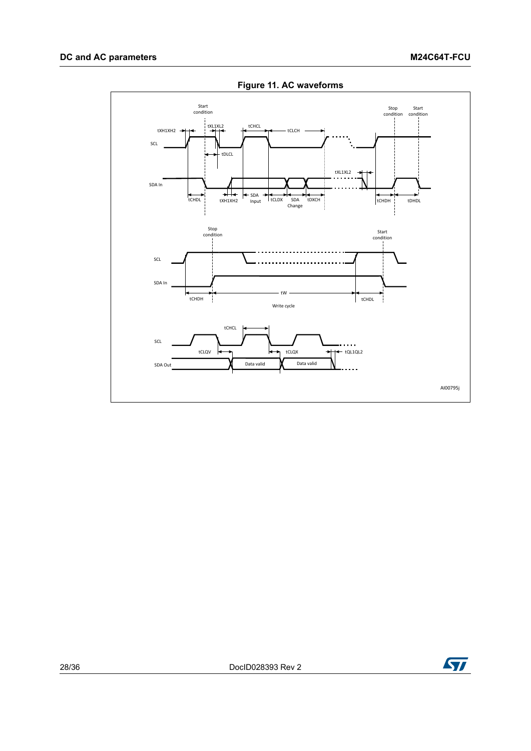<span id="page-27-0"></span>

**Figure 11. AC waveforms**

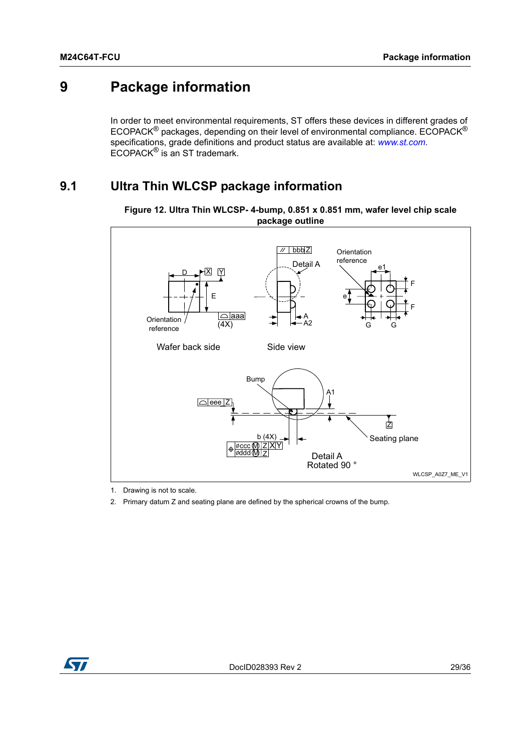# <span id="page-28-0"></span>**9 Package information**

In order to meet environmental requirements, ST offers these devices in different grades of ECOPACK® packages, depending on their level of environmental compliance. ECOPACK® specifications, grade definitions and product status are available at: *www.st.com*. ECOPACK® is an ST trademark.

### <span id="page-28-1"></span>**9.1 Ultra Thin WLCSP package information**



<span id="page-28-2"></span>**Figure 12. Ultra Thin WLCSP- 4-bump, 0.851 x 0.851 mm, wafer level chip scale package outline**

1. Drawing is not to scale.

2. Primary datum Z and seating plane are defined by the spherical crowns of the bump.

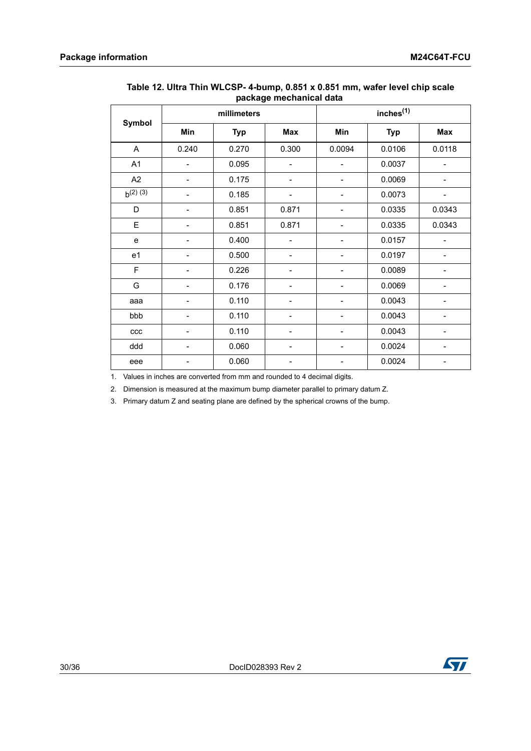|                | millimeters                  |            |                          | inches <sup>(1)</sup> |            |                          |
|----------------|------------------------------|------------|--------------------------|-----------------------|------------|--------------------------|
| <b>Symbol</b>  | Min                          | <b>Typ</b> | Max                      | Min                   | <b>Typ</b> | <b>Max</b>               |
| $\mathsf{A}$   | 0.240                        | 0.270      | 0.300                    | 0.0094                | 0.0106     | 0.0118                   |
| A1             |                              | 0.095      |                          |                       | 0.0037     |                          |
| A2             |                              | 0.175      |                          |                       | 0.0069     |                          |
| $b^{(2) (3)}$  |                              | 0.185      |                          |                       | 0.0073     |                          |
| D              |                              | 0.851      | 0.871                    |                       | 0.0335     | 0.0343                   |
| E              | $\qquad \qquad \blacksquare$ | 0.851      | 0.871                    |                       | 0.0335     | 0.0343                   |
| e              | $\overline{a}$               | 0.400      | $\overline{\phantom{0}}$ |                       | 0.0157     | $\overline{\phantom{0}}$ |
| e <sub>1</sub> |                              | 0.500      | $\overline{\phantom{a}}$ |                       | 0.0197     | $\overline{\phantom{0}}$ |
| F              |                              | 0.226      |                          |                       | 0.0089     |                          |
| G              |                              | 0.176      |                          |                       | 0.0069     |                          |
| aaa            |                              | 0.110      |                          |                       | 0.0043     |                          |
| bbb            |                              | 0.110      |                          |                       | 0.0043     |                          |
| ccc            | $\qquad \qquad \blacksquare$ | 0.110      | $\overline{\phantom{a}}$ |                       | 0.0043     | -                        |
| ddd            | $\overline{a}$               | 0.060      | $\overline{\phantom{a}}$ |                       | 0.0024     | $\overline{\phantom{0}}$ |
| eee            |                              | 0.060      |                          |                       | 0.0024     |                          |

#### <span id="page-29-0"></span>**Table 12. Ultra Thin WLCSP- 4-bump, 0.851 x 0.851 mm, wafer level chip scale package mechanical data**

1. Values in inches are converted from mm and rounded to 4 decimal digits.

2. Dimension is measured at the maximum bump diameter parallel to primary datum Z.

3. Primary datum Z and seating plane are defined by the spherical crowns of the bump.

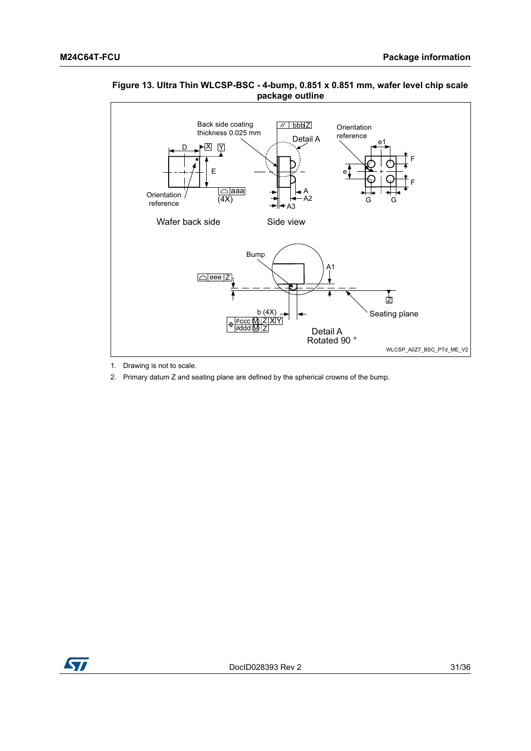

#### <span id="page-30-0"></span>**Figure 13. Ultra Thin WLCSP-BSC - 4-bump, 0.851 x 0.851 mm, wafer level chip scale package outline**

- 1. Drawing is not to scale.
- 2. Primary datum Z and seating plane are defined by the spherical crowns of the bump.

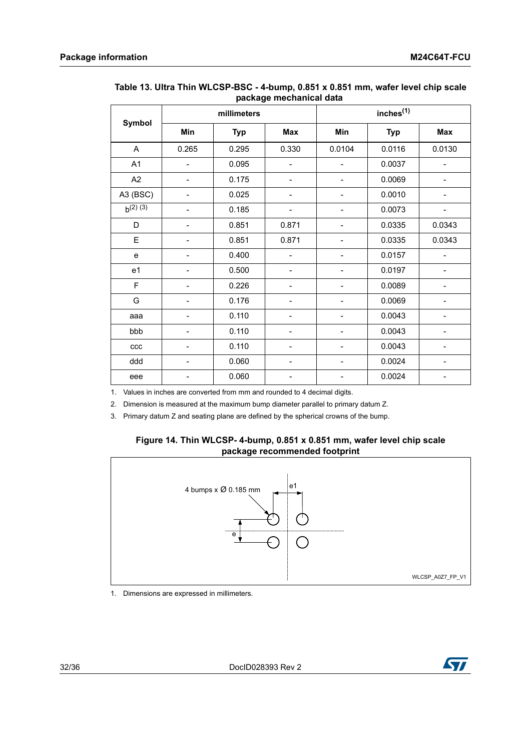|               |             |            | pacnayo mocnamcai uata |                       |            |        |
|---------------|-------------|------------|------------------------|-----------------------|------------|--------|
|               | millimeters |            |                        | inches <sup>(1)</sup> |            |        |
| Symbol        | Min         | <b>Typ</b> | Max                    | Min                   | <b>Typ</b> | Max    |
| A             | 0.265       | 0.295      | 0.330                  | 0.0104                | 0.0116     | 0.0130 |
| A1            |             | 0.095      |                        |                       | 0.0037     |        |
| A2            |             | 0.175      |                        |                       | 0.0069     |        |
| A3 (BSC)      |             | 0.025      |                        |                       | 0.0010     |        |
| $b^{(2) (3)}$ |             | 0.185      |                        |                       | 0.0073     |        |
| D             |             | 0.851      | 0.871                  |                       | 0.0335     | 0.0343 |
| E             |             | 0.851      | 0.871                  |                       | 0.0335     | 0.0343 |
| e             |             | 0.400      |                        |                       | 0.0157     |        |
| e1            |             | 0.500      |                        |                       | 0.0197     |        |
| F             |             | 0.226      |                        |                       | 0.0089     |        |
| G             |             | 0.176      |                        |                       | 0.0069     |        |
| aaa           |             | 0.110      |                        |                       | 0.0043     |        |
| bbb           |             | 0.110      |                        |                       | 0.0043     |        |
| ccc           |             | 0.110      |                        |                       | 0.0043     |        |
| ddd           |             | 0.060      |                        |                       | 0.0024     |        |
| eee           |             | 0.060      |                        |                       | 0.0024     |        |

#### <span id="page-31-0"></span>**Table 13. Ultra Thin WLCSP-BSC - 4-bump, 0.851 x 0.851 mm, wafer level chip scale package mechanical data**

1. Values in inches are converted from mm and rounded to 4 decimal digits.

2. Dimension is measured at the maximum bump diameter parallel to primary datum Z.

<span id="page-31-1"></span>3. Primary datum Z and seating plane are defined by the spherical crowns of the bump.

#### **Figure 14. Thin WLCSP- 4-bump, 0.851 x 0.851 mm, wafer level chip scale package recommended footprint**



1. Dimensions are expressed in millimeters.

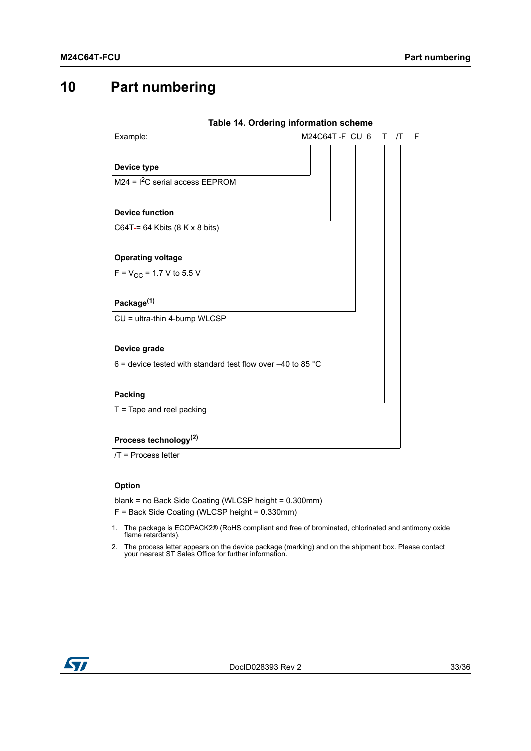# <span id="page-32-0"></span>**10 Part numbering**

<span id="page-32-1"></span>

|                                                               | Table 14. Ordering information scheme |            |
|---------------------------------------------------------------|---------------------------------------|------------|
| Example:                                                      | M24C64T-F CU 6<br>т                   | $\sqrt{T}$ |
|                                                               |                                       |            |
| Device type                                                   |                                       |            |
| $\overline{M24}$ = I <sup>2</sup> C serial access EEPROM      |                                       |            |
|                                                               |                                       |            |
| <b>Device function</b>                                        |                                       |            |
| C64T-= 64 Kbits $(8 K x 8 bits)$                              |                                       |            |
|                                                               |                                       |            |
| <b>Operating voltage</b>                                      |                                       |            |
| $F = V_{CC} = 1.7 V$ to 5.5 V                                 |                                       |            |
|                                                               |                                       |            |
| Package <sup>(1)</sup>                                        |                                       |            |
| CU = ultra-thin 4-bump WLCSP                                  |                                       |            |
|                                                               |                                       |            |
| Device grade                                                  |                                       |            |
| 6 = device tested with standard test flow over $-40$ to 85 °C |                                       |            |
|                                                               |                                       |            |
| <b>Packing</b>                                                |                                       |            |
| $T =$ Tape and reel packing                                   |                                       |            |
|                                                               |                                       |            |
| Process technology <sup>(2)</sup>                             |                                       |            |
| $/T$ = Process letter                                         |                                       |            |
|                                                               |                                       |            |
| Option                                                        |                                       |            |

blank = no Back Side Coating (WLCSP height = 0.300mm)

F = Back Side Coating (WLCSP height = 0.330mm)

- 1. The package is ECOPACK2® (RoHS compliant and free of brominated, chlorinated and antimony oxide flame retardants).
- 2. The process letter appears on the device package (marking) and on the shipment box. Please contact your nearest ST Sales Office for further information.

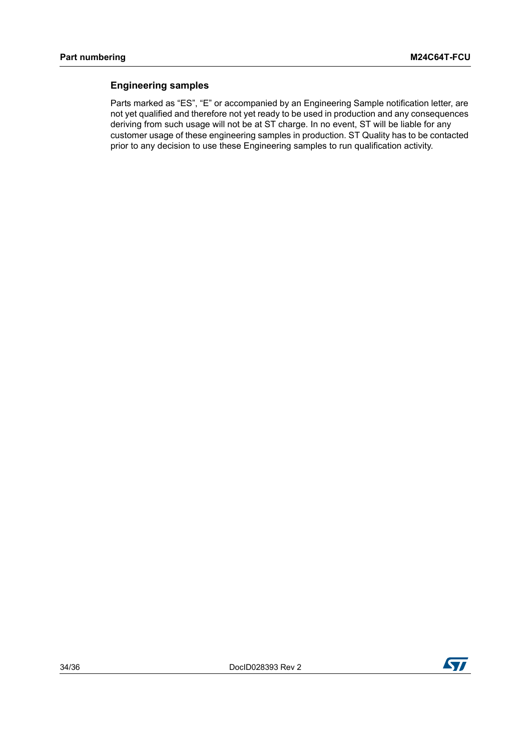#### **Engineering samples**

Parts marked as "ES", "E" or accompanied by an Engineering Sample notification letter, are not yet qualified and therefore not yet ready to be used in production and any consequences deriving from such usage will not be at ST charge. In no event, ST will be liable for any customer usage of these engineering samples in production. ST Quality has to be contacted prior to any decision to use these Engineering samples to run qualification activity.

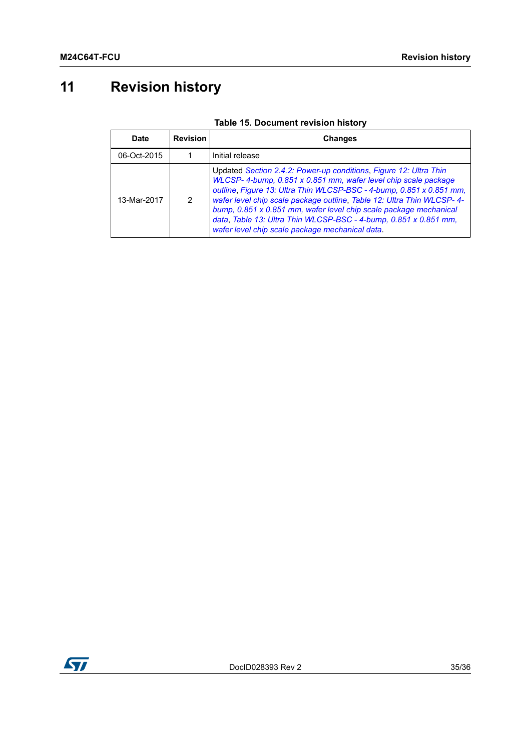# <span id="page-34-0"></span>**11 Revision history**

<span id="page-34-1"></span>

| Date        | <b>Revision</b> | <b>Changes</b>                                                                                                                                                                                                                                                                                                                                                                                                                                                                    |
|-------------|-----------------|-----------------------------------------------------------------------------------------------------------------------------------------------------------------------------------------------------------------------------------------------------------------------------------------------------------------------------------------------------------------------------------------------------------------------------------------------------------------------------------|
| 06-Oct-2015 |                 | Initial release                                                                                                                                                                                                                                                                                                                                                                                                                                                                   |
| 13-Mar-2017 | $\mathcal{P}$   | Updated Section 2.4.2: Power-up conditions, Figure 12: Ultra Thin<br>WLCSP-4-bump, 0.851 x 0.851 mm, wafer level chip scale package<br>outline, Figure 13: Ultra Thin WLCSP-BSC - 4-bump, 0.851 x 0.851 mm,<br>wafer level chip scale package outline, Table 12: Ultra Thin WLCSP- 4-<br>bump, 0.851 x 0.851 mm, wafer level chip scale package mechanical<br>data, Table 13: Ultra Thin WLCSP-BSC - 4-bump, 0.851 x 0.851 mm,<br>wafer level chip scale package mechanical data. |

### **Table 15. Document revision history**